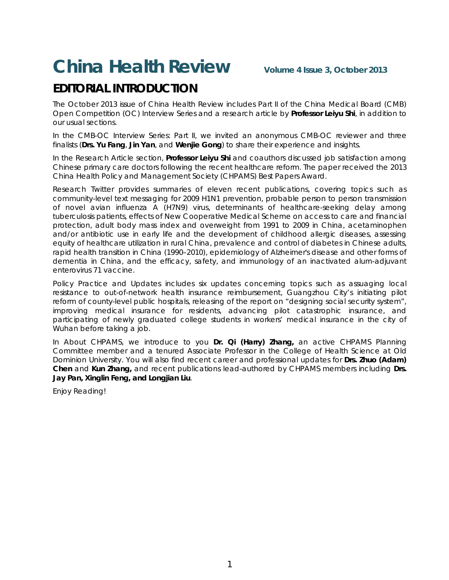## **China Health Review Volume 4 Issue 3, October <sup>2013</sup>**

## **EDITORIAL INTRODUCTION**

The October 2013 issue of China Health Review includes Part II of the China Medical Board (CMB) Open Competition (OC) Interview Series and a research article by **Professor Leiyu Shi**, in addition to our usual sections.

In the *CMB-OC Interview Series: Part II*, we invited an anonymous CMB-OC reviewer and three finalists (**Drs. Yu Fang**, **Jin Yan**, and **Wenjie Gong**) to share their experience and insights.

In the *Research Article* section, **Professor Leiyu Shi** and coauthors discussed job satisfaction among Chinese primary care doctors following the recent healthcare reform. The paper received the 2013 China Health Policy and Management Society (CHPAMS) Best Papers Award.

*Research Twitter* provides summaries of eleven recent publications, covering topics such as community-level text messaging for 2009 H1N1 prevention, probable person to person transmission of novel avian influenza A (H7N9) virus, determinants of healthcare-seeking delay among tuberculosis patients, effects of New Cooperative Medical Scheme on access to care and financial protection, adult body mass index and overweight from 1991 to 2009 in China, acetaminophen and/or antibiotic use in early life and the development of childhood allergic diseases, assessing equity of healthcare utilization in rural China, prevalence and control of diabetes in Chinese adults, rapid health transition in China (1990–2010), epidemiology of Alzheimer's disease and other forms of dementia in China, and the efficacy, safety, and immunology of an inactivated alum-adjuvant enterovirus 71 vaccine.

*Policy Practice and Updates* includes six updates concerning topics such as assuaging local resistance to out-of-network health insurance reimbursement, Guangzhou City's initiating pilot reform of county-level public hospitals, releasing of the report on "designing social security system", improving medical insurance for residents, advancing pilot catastrophic insurance, and participating of newly graduated college students in workers' medical insurance in the city of Wuhan before taking a job.

In *About CHPAMS*, we introduce to you **Dr. Qi (Harry) Zhang,** an active CHPAMS Planning Committee member and a tenured Associate Professor in the College of Health Science at Old Dominion University. You will also find recent career and professional updates for **Drs. Zhuo (Adam) Chen** and **Kun Zhang,** and recent publications lead-authored by CHPAMS members including **Drs. Jay Pan, Xinglin Feng, and Longjian Liu**.

Enjoy Reading!